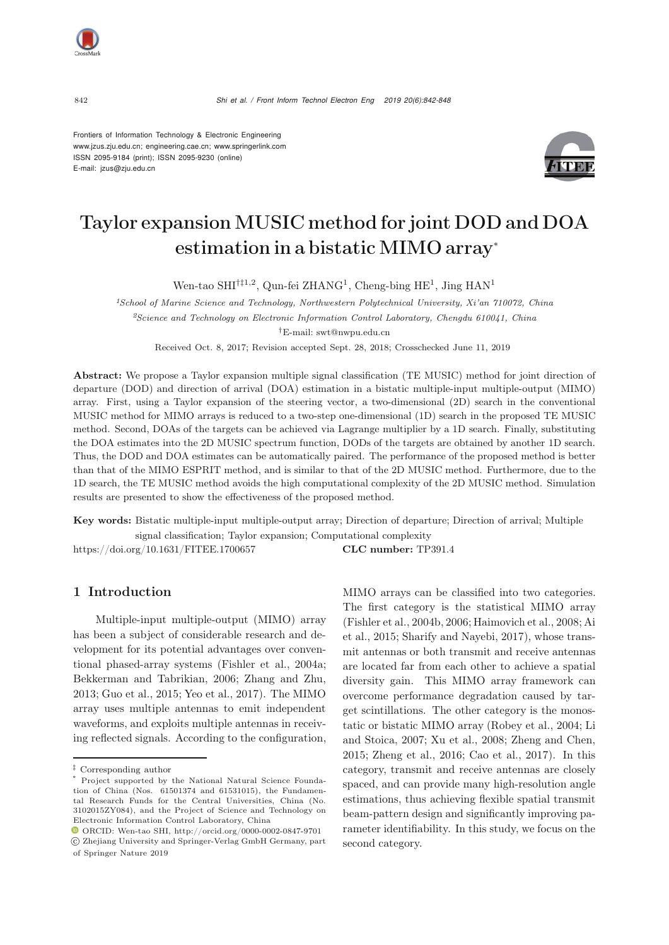

Frontiers of Information Technology & Electronic Engineering [www.jzus.zju.edu.cn;](www.jzus.zju.edu.cn) [engineering.cae.cn;](engineering.cae.cn)<www.springerlink.com> ISSN 2095-9184 (print); ISSN 2095-9230 (online) E-mail: jzus@zju.edu.cn



# Taylor expansion MUSIC method for joint DOD and DOA estimation in a bistatic MIMO array<sup>∗</sup>

Wen-tao SHI†‡1,2, Qun-fei ZHANG<sup>1</sup>, Cheng-bing HE<sup>1</sup>, Jing HAN<sup>1</sup>

*<sup>1</sup>School of Marine Science and Technology, Northwestern Polytechnical University, Xi'an 710072, China <sup>2</sup>Science and Technology on Electronic Information Control Laboratory, Chengdu 610041, China †*E-mail: swt@nwpu.edu.cn

Received Oct. 8, 2017; Revision accepted Sept. 28, 2018; Crosschecked June 11, 2019

Abstract: We propose a Taylor expansion multiple signal classification (TE MUSIC) method for joint direction of departure (DOD) and direction of arrival (DOA) estimation in a bistatic multiple-input multiple-output (MIMO) array. First, using a Taylor expansion of the steering vector, a two-dimensional (2D) search in the conventional MUSIC method for MIMO arrays is reduced to a two-step one-dimensional (1D) search in the proposed TE MUSIC method. Second, DOAs of the targets can be achieved via Lagrange multiplier by a 1D search. Finally, substituting the DOA estimates into the 2D MUSIC spectrum function, DODs of the targets are obtained by another 1D search. Thus, the DOD and DOA estimates can be automatically paired. The performance of the proposed method is better than that of the MIMO ESPRIT method, and is similar to that of the 2D MUSIC method. Furthermore, due to the 1D search, the TE MUSIC method avoids the high computational complexity of the 2D MUSIC method. Simulation results are presented to show the effectiveness of the proposed method.

Key words: Bistatic multiple-input multiple-output array; Direction of departure; Direction of arrival; Multiple signal classification; Taylor expansion; Computational complexity https://doi.org/10.1631/FITEE.1700657 CLC number: TP391.4

## 1 Introduction

Multiple-input multiple-output (MIMO) array has been a subject of considerable research and development for its potential advantages over conventional phased-array systems [\(Fishler et al.](#page-6-0), [2004a;](#page-6-0) [Bekkerman and Tabrikian](#page-5-0), [2006](#page-5-0); [Zhang and Zhu](#page-6-1), [2013](#page-6-1); [Guo et al.](#page-6-2), [2015](#page-6-2); [Yeo et al., 2017](#page-6-3)). The MIMO array uses multiple antennas to emit independent waveforms, and exploits multiple antennas in receiving reflected signals. According to the configuration, MIMO arrays can be classified into two categories. The first category is the statistical MIMO array [\(Fishler et al.](#page-6-4)[,](#page-5-1) [2004b](#page-6-4)[,](#page-5-1) [2006](#page-6-5)[;](#page-5-1) [Haimovich et al.](#page-6-6)[,](#page-5-1) [2008](#page-6-6)[;](#page-5-1) Ai et al., [2015;](#page-5-1) [Sharify and Nayebi, 2017](#page-6-7)), whose transmit antennas or both transmit and receive antennas are located far from each other to achieve a spatial diversity gain. This MIMO array framework can overcome performance degradation caused by target scintillations. The other category is the monostatic or bi[static](#page-6-9) [MIMO](#page-6-9) [array](#page-6-9) [\(Robey et al.](#page-6-8)[,](#page-6-9) [2004;](#page-6-8) Li and Stoica, [2007;](#page-6-9) [Xu et al., 2008;](#page-6-10) [Zheng and Chen](#page-6-11), [2015](#page-6-11); [Zheng et al., 2016](#page-6-12); [Cao et al.](#page-5-2), [2017](#page-5-2)). In this category, transmit and receive antennas are closely spaced, and can provide many high-resolution angle estimations, thus achieving flexible spatial transmit beam-pattern design and significantly improving parameter identifiability. In this study, we focus on the second category.

*<sup>‡</sup>* Corresponding author

Project supported by the National Natural Science Foundation of China (Nos. 61501374 and 61531015), the Fundamental Research Funds for the Central Universities, China (No. 3102015ZY084), and the Project of Science and Technology on Electronic Information Control Laboratory, China

ORCID: Wen-tao SHI, http://orcid.org/0000-0002-0847-9701 c Zhejiang University and Springer-Verlag GmbH Germany, part

of Springer Nature 2019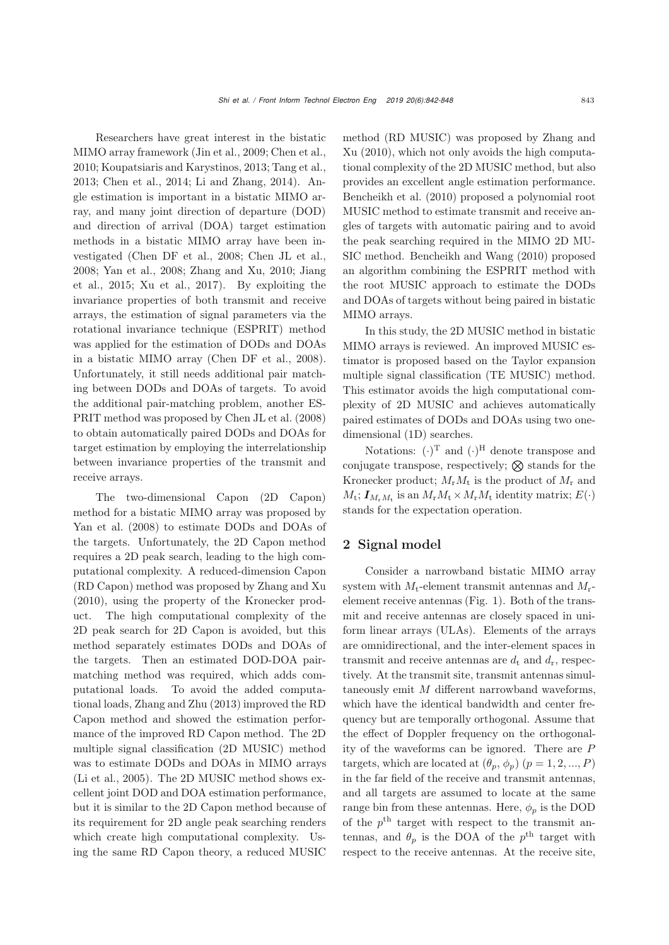Researchers have great interest in the bistatic MIMO array framework [\(Jin et al.](#page-6-13), [2009](#page-6-13); [Chen et al.](#page-5-3), [2010](#page-5-3); [Koupatsiaris and Karystinos, 2013](#page-6-14); [Tang et al.](#page-6-15), [2013](#page-6-15); [Chen et al.](#page-5-4), [2014;](#page-5-4) [Li and Zhang](#page-6-16), [2014\)](#page-6-16). Angle estimation is important in a bistatic MIMO array, and many joint direction of departure (DOD) and direction of arrival (DOA) target estimation methods in a bistatic MIMO array have been investigated [\(Chen DF et al., 2008;](#page-5-5) [Chen JL et al.](#page-5-6), [2008](#page-5-6); [Yan et al.](#page-6-17)[,](#page-6-19) [2008](#page-6-17)[;](#page-6-19) [Zhang and Xu](#page-6-18)[,](#page-6-19) [2010](#page-6-18)[;](#page-6-19) Jiang et al., [2015;](#page-6-19) [Xu et al., 2017](#page-6-20)). By exploiting the invariance properties of both transmit and receive arrays, the estimation of signal parameters via the rotational invariance technique (ESPRIT) method was applied for the estimation of DODs and DOAs in a bistatic MIMO array [\(Chen DF et al., 2008\)](#page-5-5). Unfortunately, it still needs additional pair matching between DODs and DOAs of targets. To avoid the additional pair-matching problem, another ES-PRIT method was proposed by [Chen JL et al.](#page-5-6) [\(2008](#page-5-6)) to obtain automatically paired DODs and DOAs for target estimation by employing the interrelationship between invariance properties of the transmit and receive arrays.

The two-dimensional Capon (2D Capon) method for a bistatic MIMO array was proposed by [Yan et al.](#page-6-17) [\(2008\)](#page-6-17) to estimate DODs and DOAs of the targets. Unfortunately, the 2D Capon method requires a 2D peak search, leading to the high computational complexity. A reduced-dimension Capon (RD Capon) method was proposed by [Zhang and Xu](#page-6-18) [\(2010](#page-6-18)), using the property of the Kronecker product. The high computational complexity of the 2D peak search for 2D Capon is avoided, but this method separately estimates DODs and DOAs of the targets. Then an estimated DOD-DOA pairmatching method was required, which adds computational loads. To avoid the added computational loads, [Zhang and Zhu](#page-6-1) [\(2013\)](#page-6-1) improved the RD Capon method and showed the estimation performance of the improved RD Capon method. The 2D multiple signal classification (2D MUSIC) method was to estimate DODs and DOAs in MIMO arrays [\(Li et al.](#page-6-21), [2005](#page-6-21)). The 2D MUSIC method shows excellent joint DOD and DOA estimation performance, but it is similar to the 2D Capon method because of its requirement for 2D angle peak searching renders which create high computational complexity. Using the same RD Capon theory, a reduced MUSIC

me[thod](#page-6-18) [\(RD](#page-6-18) [MUSIC\)](#page-6-18) [was](#page-6-18) [proposed](#page-6-18) [by](#page-6-18) Zhang and Xu [\(2010](#page-6-18)), which not only avoids the high computational complexity of the 2D MUSIC method, but also provides an excellent angle estimation performance. [Bencheikh et al.](#page-5-7) [\(2010\)](#page-5-7) proposed a polynomial root MUSIC method to estimate transmit and receive angles of targets with automatic pairing and to avoid the peak searching required in the MIMO 2D MU-SIC method. [Bencheikh and Wang](#page-5-8) [\(2010](#page-5-8)) proposed an algorithm combining the ESPRIT method with the root MUSIC approach to estimate the DODs and DOAs of targets without being paired in bistatic MIMO arrays.

In this study, the 2D MUSIC method in bistatic MIMO arrays is reviewed. An improved MUSIC estimator is proposed based on the Taylor expansion multiple signal classification (TE MUSIC) method. This estimator avoids the high computational complexity of 2D MUSIC and achieves automatically paired estimates of DODs and DOAs using two onedimensional (1D) searches.

Notations:  $(\cdot)^T$  and  $(\cdot)^H$  denote transpose and conjugate transpose, respectively;  $\otimes$  stands for the Kronecker product;  $M_r M_t$  is the product of  $M_r$  and  $M_t$ ;  $\boldsymbol{I}_{M_rM_t}$  is an  $M_rM_t \times M_rM_t$  identity matrix;  $E(\cdot)$ stands for the expectation operation.

# 2 Signal model

Consider a narrowband bistatic MIMO array system with  $M_t$ -element transmit antennas and  $M_t$ element receive antennas (Fig. [1\)](#page-2-0). Both of the transmit and receive antennas are closely spaced in uniform linear arrays (ULAs). Elements of the arrays are omnidirectional, and the inter-element spaces in transmit and receive antennas are  $d_t$  and  $d_r$ , respectively. At the transmit site, transmit antennas simultaneously emit M different narrowband waveforms, which have the identical bandwidth and center frequency but are temporally orthogonal. Assume that the effect of Doppler frequency on the orthogonality of the waveforms can be ignored. There are P targets, which are located at  $(\theta_p, \phi_p)$   $(p = 1, 2, ..., P)$ in the far field of the receive and transmit antennas, and all targets are assumed to locate at the same range bin from these antennas. Here,  $\phi_p$  is the DOD of the  $p<sup>th</sup>$  target with respect to the transmit antennas, and  $\theta_p$  is the DOA of the  $p^{\text{th}}$  target with respect to the receive antennas. At the receive site,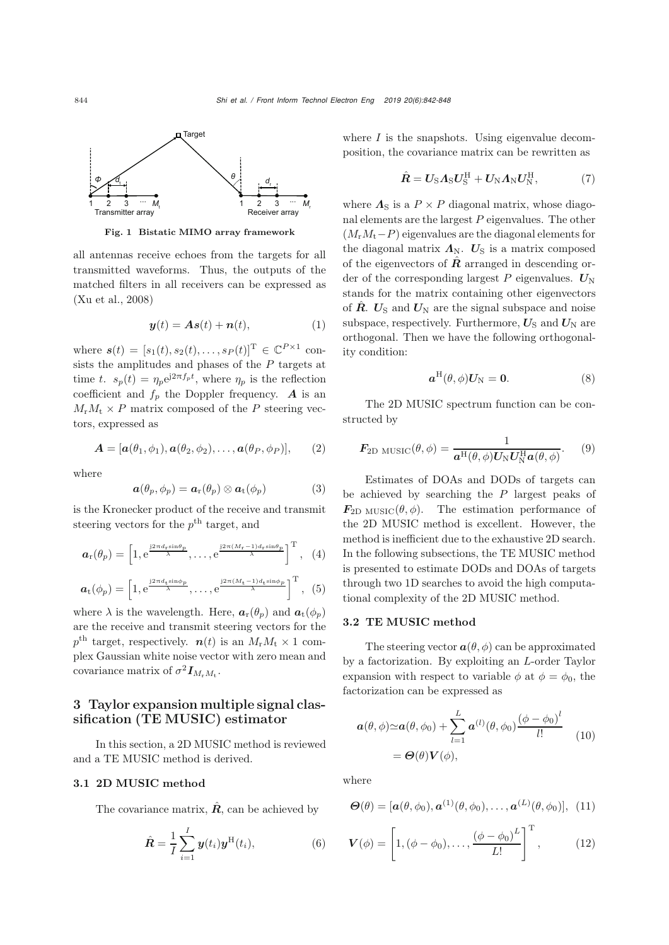

<span id="page-2-0"></span>Fig. 1 Bistatic MIMO array framework

all antennas receive echoes from the targets for all transmitted waveforms. Thus, the outputs of the matched filters in all receivers can be expressed as [\(Xu et al., 2008\)](#page-6-10)

$$
\mathbf{y}(t) = \mathbf{A}\mathbf{s}(t) + \mathbf{n}(t),\tag{1}
$$

where  $s(t)=[s_1(t), s_2(t),...,s_P (t)]^T \in \mathbb{C}^{P \times 1}$  consists the amplitudes and phases of the  $P$  targets at time t.  $s_p(t) = \eta_p e^{j2\pi f_p t}$ , where  $\eta_p$  is the reflection coefficient and  $f_p$  the Doppler frequency. **A** is an  $M_rM_t \times P$  matrix composed of the P steering vectors, expressed as

$$
\mathbf{A} = [\mathbf{a}(\theta_1, \phi_1), \mathbf{a}(\theta_2, \phi_2), \dots, \mathbf{a}(\theta_P, \phi_P)], \qquad (2)
$$

where

$$
\boldsymbol{a}(\theta_p,\phi_p)=\boldsymbol{a}_{\rm r}(\theta_p)\otimes\boldsymbol{a}_{\rm t}(\phi_p)\qquad\qquad(3)
$$

is the Kronecker product of the receive and transmit steering vectors for the  $p^{\text{th}}$  target, and

$$
\boldsymbol{a}_{\mathrm{r}}(\theta_p) = \left[1, e^{\frac{j2\pi d_{\mathrm{r}}\sin\theta_p}{\lambda}}, \ldots, e^{\frac{j2\pi (M_{\mathrm{r}}-1)d_{\mathrm{r}}\sin\theta_p}{\lambda}}\right]^{\mathrm{T}}, \quad (4)
$$

$$
\boldsymbol{a}_{t}(\phi_{p}) = \left[1, e^{\frac{j2\pi d_{t}\sin\phi_{p}}{\lambda}}, \ldots, e^{\frac{j2\pi (M_{t}-1)d_{t}\sin\phi_{p}}{\lambda}}\right]^{T}, (5)
$$

where  $\lambda$  is the wavelength. Here,  $a_r(\theta_p)$  and  $a_t(\phi_p)$ are the receive and transmit steering vectors for the  $p<sup>th</sup>$  target, respectively.  $n(t)$  is an  $M_rM_t \times 1$  complex Gaussian white noise vector with zero mean and covariance matrix of  $\sigma^2 I_{M_rM_t}$ .

# 3 Taylor expansion multiple signal classification (TE MUSIC) estimator

In this section, a 2D MUSIC method is reviewed and a TE MUSIC method is derived.

### 3.1 2D MUSIC method

The covariance matrix,  $\hat{R}$ , can be achieved by

$$
\hat{\boldsymbol{R}} = \frac{1}{I} \sum_{i=1}^{I} \boldsymbol{y}(t_i) \boldsymbol{y}^{\mathrm{H}}(t_i), \tag{6}
$$

where  $I$  is the snapshots. Using eigenvalue decomposition, the covariance matrix can be rewritten as

$$
\hat{\boldsymbol{R}} = \boldsymbol{U}_{\rm S} \boldsymbol{\Lambda}_{\rm S} \boldsymbol{U}_{\rm S}^{\rm H} + \boldsymbol{U}_{\rm N} \boldsymbol{\Lambda}_{\rm N} \boldsymbol{U}_{\rm N}^{\rm H},\tag{7}
$$

where  $\Lambda_{\rm S}$  is a  $P \times P$  diagonal matrix, whose diagonal elements are the largest  $P$  eigenvalues. The other  $(M_rM_t-P)$  eigenvalues are the diagonal elements for the diagonal matrix  $\Lambda_{\text{N}}$ .  $U_{\text{S}}$  is a matrix composed of the eigenvectors of  $\hat{R}$  arranged in descending order of the corresponding largest  $P$  eigenvalues.  $U_N$ stands for the matrix containing other eigenvectors of  $\hat{R}$ .  $U_{\rm S}$  and  $U_{\rm N}$  are the signal subspace and noise subspace, respectively. Furthermore,  $U_{\rm S}$  and  $U_{\rm N}$  are orthogonal. Then we have the following orthogonality condition:

$$
\boldsymbol{a}^{\mathrm{H}}(\theta,\phi)\boldsymbol{U}_{\mathrm{N}}=\mathbf{0}.\tag{8}
$$

The 2D MUSIC spectrum function can be constructed by

<span id="page-2-2"></span>
$$
\boldsymbol{F}_{\text{2D MUSIC}}(\theta,\phi) = \frac{1}{\boldsymbol{a}^{\text{H}}(\theta,\phi)\boldsymbol{U}_{\text{N}}\boldsymbol{U}_{\text{N}}^{\text{H}}\boldsymbol{a}(\theta,\phi)}.
$$
(9)

Estimates of DOAs and DODs of targets can be achieved by searching the  $P$  largest peaks of  $\mathbf{F}_{2D \text{ MUSIC}}(\theta, \phi)$ . The estimation performance of the 2D MUSIC method is excellent. However, the method is inefficient due to the exhaustive 2D search. In the following subsections, the TE MUSIC method is presented to estimate DODs and DOAs of targets through two 1D searches to avoid the high computational complexity of the 2D MUSIC method.

#### <span id="page-2-3"></span>3.2 TE MUSIC method

The steering vector  $\boldsymbol{a}(\theta, \phi)$  can be approximated by a factorization. By exploiting an L-order Taylor expansion with respect to variable  $\phi$  at  $\phi = \phi_0$ , the factorization can be expressed as

<span id="page-2-1"></span>
$$
\mathbf{a}(\theta,\phi) \simeq \mathbf{a}(\theta,\phi_0) + \sum_{l=1}^{L} \mathbf{a}^{(l)}(\theta,\phi_0) \frac{(\phi-\phi_0)^l}{l!} \quad (10)
$$

$$
= \mathbf{\Theta}(\theta) \mathbf{V}(\phi),
$$

where

$$
\boldsymbol{\Theta}(\theta) = [\boldsymbol{a}(\theta,\phi_0),\boldsymbol{a}^{(1)}(\theta,\phi_0),\ldots,\boldsymbol{a}^{(L)}(\theta,\phi_0)],\,\,(11)
$$

$$
\boldsymbol{V}(\phi) = \left[1, (\phi - \phi_0), \dots, \frac{(\phi - \phi_0)^L}{L!}\right]^{\mathrm{T}},\qquad (12)
$$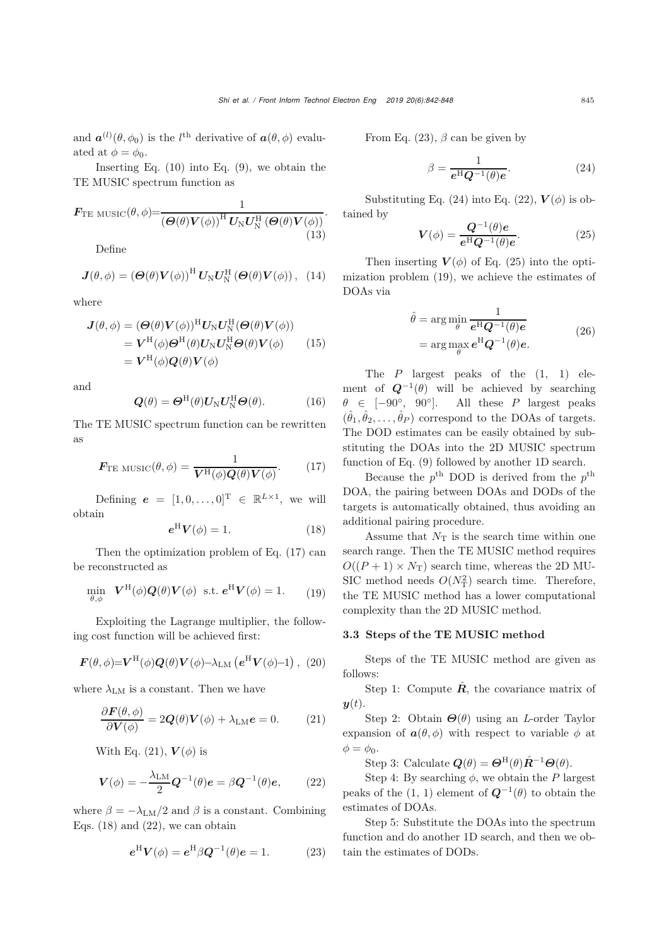and  $\mathbf{a}^{(l)}(\theta, \phi_0)$  is the l<sup>th</sup> derivative of  $\mathbf{a}(\theta, \phi)$  evaluated at  $\phi = \phi_0$ .

Inserting Eq.  $(10)$  into Eq.  $(9)$ , we obtain the TE MUSIC spectrum function as

$$
\boldsymbol{F}_{\text{TE MUSIC}}(\boldsymbol{\theta}, \boldsymbol{\phi}) = \frac{1}{\left(\boldsymbol{\Theta}(\boldsymbol{\theta})\boldsymbol{V}(\boldsymbol{\phi})\right)^{\text{H}}\boldsymbol{U}_{\text{N}}\boldsymbol{U}_{\text{N}}^{\text{H}}\left(\boldsymbol{\Theta}(\boldsymbol{\theta})\boldsymbol{V}(\boldsymbol{\phi})\right)}.\tag{13}
$$

Define

$$
\mathbf{J}(\theta,\phi) = \left(\mathbf{\Theta}(\theta)\mathbf{V}(\phi)\right)^{\mathrm{H}}\mathbf{U}_{\mathrm{N}}\mathbf{U}_{\mathrm{N}}^{\mathrm{H}}\left(\mathbf{\Theta}(\theta)\mathbf{V}(\phi)\right), (14)
$$

where

$$
J(\theta, \phi) = (\mathbf{\Theta}(\theta) \mathbf{V}(\phi))^{\mathrm{H}} \mathbf{U}_{\mathrm{N}} \mathbf{U}_{\mathrm{N}}^{\mathrm{H}} (\mathbf{\Theta}(\theta) \mathbf{V}(\phi))
$$
  
\n
$$
= \mathbf{V}^{\mathrm{H}}(\phi) \mathbf{\Theta}^{\mathrm{H}}(\theta) \mathbf{U}_{\mathrm{N}} \mathbf{U}_{\mathrm{N}}^{\mathrm{H}} \mathbf{\Theta}(\theta) \mathbf{V}(\phi)
$$
 (15)  
\n
$$
= \mathbf{V}^{\mathrm{H}}(\phi) \mathbf{Q}(\theta) \mathbf{V}(\phi)
$$

and

$$
\mathbf{Q}(\theta) = \mathbf{\Theta}^{\mathrm{H}}(\theta)\mathbf{U}_{\mathrm{N}}\mathbf{U}_{\mathrm{N}}^{\mathrm{H}}\mathbf{\Theta}(\theta).
$$
 (16)

The TE MUSIC spectrum function can be rewritten as

<span id="page-3-0"></span>
$$
\boldsymbol{F}_{\rm TE\ MUSIC}(\theta, \phi) = \frac{1}{\boldsymbol{V}^{\rm H}(\phi) \boldsymbol{Q}(\theta) \boldsymbol{V}(\phi)}.
$$
 (17)

Defining  $e = [1, 0, \ldots, 0]^T \in \mathbb{R}^{L \times 1}$ , we will obtain

<span id="page-3-2"></span>
$$
e^{\mathrm{H}}V(\phi) = 1. \tag{18}
$$

Then the optimization problem of Eq. [\(17\)](#page-3-0) can be reconstructed as

<span id="page-3-7"></span>
$$
\min_{\theta,\phi} \quad \mathbf{V}^{\mathrm{H}}(\phi)\mathbf{Q}(\theta)\mathbf{V}(\phi) \quad \text{s.t. } \mathbf{e}^{\mathrm{H}}\mathbf{V}(\phi) = 1. \tag{19}
$$

Exploiting the Lagrange multiplier, the following cost function will be achieved first:

$$
\boldsymbol{F}(\theta,\phi) = \boldsymbol{V}^{\mathrm{H}}(\phi)\boldsymbol{Q}(\theta)\boldsymbol{V}(\phi) - \lambda_{\mathrm{LM}}\left(\boldsymbol{e}^{\mathrm{H}}\boldsymbol{V}(\phi)-1\right), (20)
$$

where  $\lambda_{LM}$  is a constant. Then we have

<span id="page-3-1"></span>
$$
\frac{\partial \boldsymbol{F}(\theta, \phi)}{\partial \boldsymbol{V}(\phi)} = 2\boldsymbol{Q}(\theta)\boldsymbol{V}(\phi) + \lambda_{\text{LM}}\boldsymbol{e} = 0. \tag{21}
$$

With Eq. [\(21\)](#page-3-1),  $V(\phi)$  is

<span id="page-3-3"></span>
$$
\boldsymbol{V}(\phi) = -\frac{\lambda_{\rm LM}}{2} \boldsymbol{Q}^{-1}(\theta) \boldsymbol{e} = \beta \boldsymbol{Q}^{-1}(\theta) \boldsymbol{e},\qquad(22)
$$

where  $\beta = -\lambda_{LM}/2$  and  $\beta$  is a constant. Combining Eqs.  $(18)$  and  $(22)$ , we can obtain

<span id="page-3-4"></span>
$$
e^{\mathrm{H}}V(\phi) = e^{\mathrm{H}}\beta Q^{-1}(\theta)e = 1.
$$
 (23)

From Eq. [\(23\)](#page-3-4),  $\beta$  can be given by

<span id="page-3-5"></span>
$$
\beta = \frac{1}{e^{\mathrm{H}} Q^{-1}(\theta)e}.\tag{24}
$$

Substituting Eq. [\(24\)](#page-3-5) into Eq. [\(22\)](#page-3-3),  $V(\phi)$  is obtained by

<span id="page-3-6"></span>
$$
\mathbf{V}(\phi) = \frac{\mathbf{Q}^{-1}(\theta)e}{e^{\mathrm{H}}\mathbf{Q}^{-1}(\theta)e}.\tag{25}
$$

Then inserting  $V(\phi)$  of Eq. [\(25\)](#page-3-6) into the optimization problem [\(19\)](#page-3-7), we achieve the estimates of DOAs via

$$
\hat{\theta} = \arg\min_{\theta} \frac{1}{e^{\mathrm{H}} Q^{-1}(\theta) e}
$$

$$
= \arg\max_{\theta} e^{\mathrm{H}} Q^{-1}(\theta) e. \tag{26}
$$

The  $P$  largest peaks of the  $(1, 1)$  element of  $Q^{-1}(\theta)$  will be achieved by searching  $\theta \in [-90^{\circ}, 90^{\circ}]$ . All these P largest peaks  $(\hat{\theta}_1, \hat{\theta}_2, \dots, \hat{\theta}_P)$  correspond to the DOAs of targets. The DOD estimates can be easily obtained by substituting the DOAs into the 2D MUSIC spectrum function of Eq. [\(9\)](#page-2-2) followed by another 1D search.

Because the  $p^{\text{th}}$  DOD is derived from the  $p^{\text{th}}$ DOA, the pairing between DOAs and DODs of the targets is automatically obtained, thus avoiding an additional pairing procedure.

Assume that  $N_T$  is the search time within one search range. Then the TE MUSIC method requires  $O((P + 1) \times N_T)$  search time, whereas the 2D MU-SIC method needs  $O(N_T^2)$  search time. Therefore,<br>the TF MUSIC method has a large computational the TE MUSIC method has a lower computational complexity than the 2D MUSIC method.

#### 3.3 Steps of the TE MUSIC method

Steps of the TE MUSIC method are given as follows:

Step 1: Compute  $\hat{\mathbf{R}}$ , the covariance matrix of  $y(t)$ .

Step 2: Obtain *<sup>Θ</sup>*(θ) using an *<sup>L</sup>*-order Taylor expansion of  $a(\theta, \phi)$  with respect to variable  $\phi$  at  $\phi = \phi_0.$ 

Step 3: Calculate  $Q(\theta) = \Theta^{\text{H}}(\theta) \hat{R}^{-1} \Theta(\theta)$ .

Step 4: By searching  $\phi$ , we obtain the P largest peaks of the (1, 1) element of  $Q^{-1}(\theta)$  to obtain the estimates of DOAs.

Step 5: Substitute the DOAs into the spectrum function and do another 1D search, and then we obtain the estimates of DODs.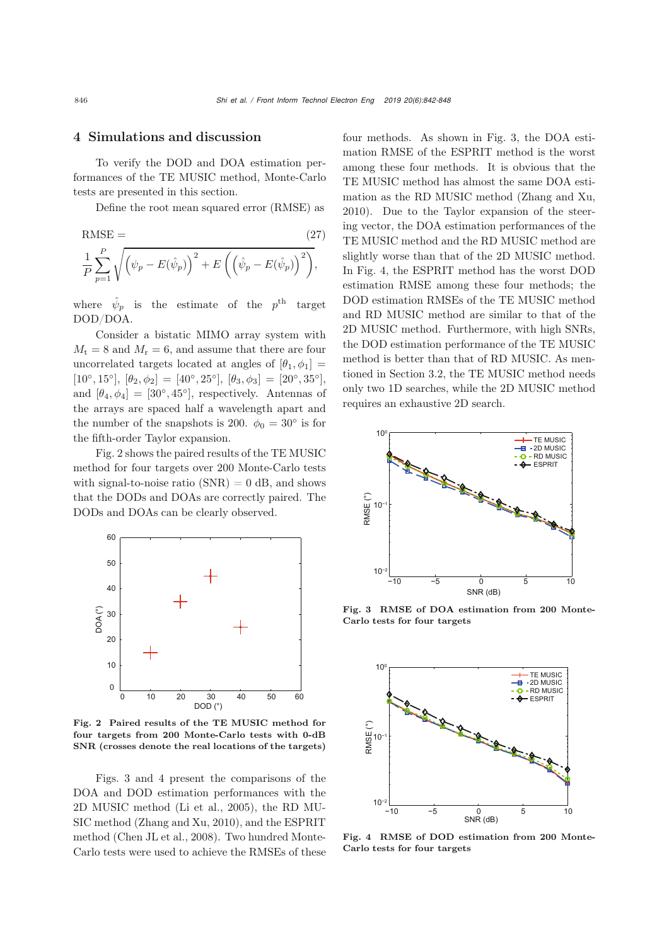## 4 Simulations and discussion

To verify the DOD and DOA estimation performances of the TE MUSIC method, Monte-Carlo tests are presented in this section.

Define the root mean squared error (RMSE) as

RMSE = 
$$
\frac{1}{P} \sum_{p=1}^{P} \sqrt{\left(\psi_p - E(\hat{\psi}_p)\right)^2 + E\left(\left(\hat{\psi}_p - E(\hat{\psi}_p)\right)^2\right)},
$$
(27)

where  $\hat{\psi}_p$  is the estimate of the  $p^{\text{th}}$  target DOD/DOA.

Consider a bistatic MIMO array system with  $M_t = 8$  and  $M_r = 6$ , and assume that there are four uncorrelated targets located at angles of  $[\theta_1, \phi_1] =$  $[10^\circ, 15^\circ], [\theta_2, \phi_2] = [40^\circ, 25^\circ], [\theta_3, \phi_3] = [20^\circ, 35^\circ],$ and  $[\theta_4, \phi_4] = [30^\circ, 45^\circ]$ , respectively. Antennas of the arrays are spaced half a wavelength apart and the number of the snapshots is 200.  $\phi_0 = 30^\circ$  is for the fifth-order Taylor expansion.

Fig. [2](#page-4-0) shows the paired results of the TE MUSIC method for four targets over 200 Monte-Carlo tests with signal-to-noise ratio  $(SNR) = 0$  dB, and shows that the DODs and DOAs are correctly paired. The DODs and DOAs can be clearly observed.



<span id="page-4-0"></span>Fig. 2 Paired results of the TE MUSIC method for four targets from 200 Monte-Carlo tests with 0-dB SNR (crosses denote the real locations of the targets)

Figs. [3](#page-4-1) and [4](#page-4-2) present the comparisons of the DOA and DOD estimation performances with the 2D MUSIC method [\(Li et al., 2005\)](#page-6-21), the RD MU-SIC method [\(Zhang and Xu, 2010](#page-6-18)), and the ESPRIT method [\(Chen JL et al.,](#page-5-6) [2008\)](#page-5-6). Two hundred Monte-Carlo tests were used to achieve the RMSEs of these

four methods. As shown in Fig. [3,](#page-4-1) the DOA estimation RMSE of the ESPRIT method is the worst among these four methods. It is obvious that the TE MUSIC method has almost the same DOA estimation as the RD MUSIC method [\(Zhang and Xu](#page-6-18), [2010](#page-6-18)). Due to the Taylor expansion of the steering vector, the DOA estimation performances of the TE MUSIC method and the RD MUSIC method are slightly worse than that of the 2D MUSIC method. In Fig. [4,](#page-4-2) the ESPRIT method has the worst DOD estimation RMSE among these four methods; the DOD estimation RMSEs of the TE MUSIC method and RD MUSIC method are similar to that of the 2D MUSIC method. Furthermore, with high SNRs, the DOD estimation performance of the TE MUSIC method is better than that of RD MUSIC. As mentioned in Section [3.2,](#page-2-3) the TE MUSIC method needs only two 1D searches, while the 2D MUSIC method requires an exhaustive 2D search.



<span id="page-4-1"></span>Fig. 3 RMSE of DOA estimation from 200 Monte-Carlo tests for four targets



<span id="page-4-2"></span>Fig. 4 RMSE of DOD estimation from 200 Monte-Carlo tests for four targets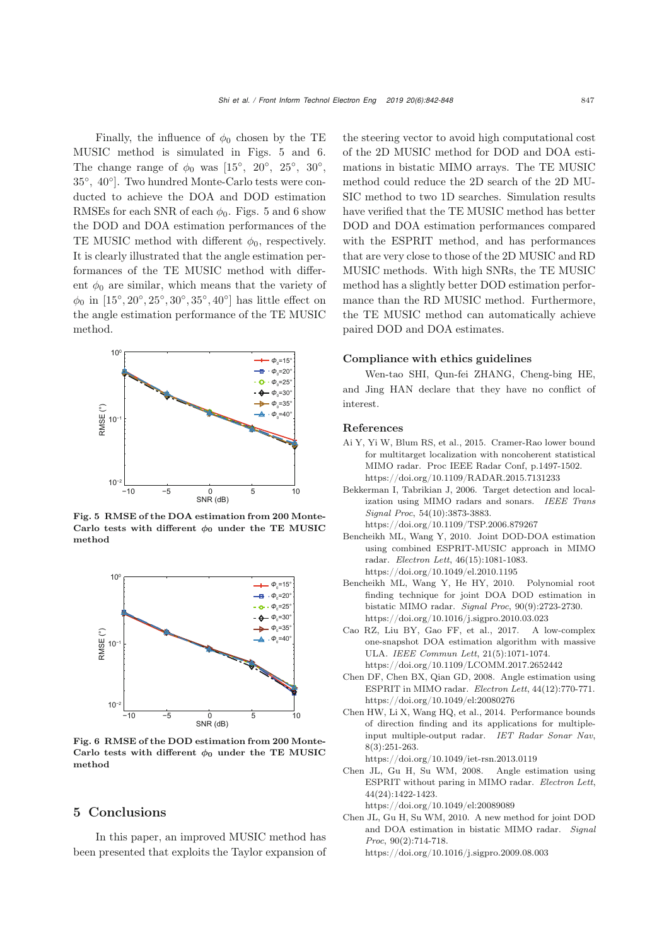Finally, the influence of  $\phi_0$  chosen by the TE MUSIC method is simulated in Figs. [5](#page-5-9) and [6.](#page-5-10) The change range of  $\phi_0$  was [15<sup>°</sup>, 20<sup>°</sup>, 25<sup>°</sup>, 30<sup>°</sup>, 35◦, 40◦]. Two hundred Monte-Carlo tests were conducted to achieve the DOA and DOD estimation RMSEs for each SNR of each  $\phi_0$ . Figs. [5](#page-5-9) and [6](#page-5-10) show the DOD and DOA estimation performances of the TE MUSIC method with different  $\phi_0$ , respectively. It is clearly illustrated that the angle estimation performances of the TE MUSIC method with different  $\phi_0$  are similar, which means that the variety of  $\phi_0$  in [15°, 20°, 25°, 30°, 35°, 40°] has little effect on the angle estimation performance of the TE MUSIC method.



<span id="page-5-9"></span>Fig. 5 RMSE of the DOA estimation from 200 Monte-Carlo tests with different  $\phi_0$  under the TE MUSIC method



<span id="page-5-10"></span>Fig. 6 RMSE of the DOD estimation from 200 Monte-Carlo tests with different  $\phi_0$  under the TE MUSIC method

#### 5 Conclusions

In this paper, an improved MUSIC method has been presented that exploits the Taylor expansion of the steering vector to avoid high computational cost of the 2D MUSIC method for DOD and DOA estimations in bistatic MIMO arrays. The TE MUSIC method could reduce the 2D search of the 2D MU-SIC method to two 1D searches. Simulation results have verified that the TE MUSIC method has better DOD and DOA estimation performances compared with the ESPRIT method, and has performances that are very close to those of the 2D MUSIC and RD MUSIC methods. With high SNRs, the TE MUSIC method has a slightly better DOD estimation performance than the RD MUSIC method. Furthermore, the TE MUSIC method can automatically achieve paired DOD and DOA estimates.

#### Compliance with ethics guidelines

Wen-tao SHI, Qun-fei ZHANG, Cheng-bing HE, and Jing HAN declare that they have no conflict of interest.

#### References

- <span id="page-5-1"></span>Ai Y, Yi W, Blum RS, et al., 2015. Cramer-Rao lower bound for multitarget localization with noncoherent statistical MIMO radar. Proc IEEE Radar Conf, p.1497-1502. https://doi.org/10.1109/RADAR.2015.7131233
- <span id="page-5-0"></span>Bekkerman I, Tabrikian J, 2006. Target detection and localization using MIMO radars and sonars. *IEEE Trans Signal Proc*, 54(10):3873-3883.
	- https://doi.org/10.1109/TSP.2006.879267
- <span id="page-5-8"></span>Bencheikh ML, Wang Y, 2010. Joint DOD-DOA estimation using combined ESPRIT-MUSIC approach in MIMO radar. *Electron Lett*, 46(15):1081-1083. https://doi.org/10.1049/el.2010.1195
- <span id="page-5-7"></span>Bencheikh ML, Wang Y, He HY, 2010. Polynomial root finding technique for joint DOA DOD estimation in bistatic MIMO radar. *Signal Proc*, 90(9):2723-2730. https://doi.org/10.1016/j.sigpro.2010.03.023
- <span id="page-5-2"></span>Cao RZ, Liu BY, Gao FF, et al., 2017. A low-complex one-snapshot DOA estimation algorithm with massive ULA. *IEEE Commun Lett*, 21(5):1071-1074. https://doi.org/10.1109/LCOMM.2017.2652442
- <span id="page-5-5"></span>Chen DF, Chen BX, Qian GD, 2008. Angle estimation using ESPRIT in MIMO radar. *Electron Lett*, 44(12):770-771. https://doi.org/10.1049/el:20080276
- <span id="page-5-4"></span>Chen HW, Li X, Wang HQ, et al., 2014. Performance bounds of direction finding and its applications for multipleinput multiple-output radar. *IET Radar Sonar Nav*, 8(3):251-263.

https://doi.org/10.1049/iet-rsn.2013.0119

- <span id="page-5-6"></span>Chen JL, Gu H, Su WM, 2008. Angle estimation using ESPRIT without paring in MIMO radar. *Electron Lett*, 44(24):1422-1423. https://doi.org/10.1049/el:20089089
- <span id="page-5-3"></span>Chen JL, Gu H, Su WM, 2010. A new method for joint DOD and DOA estimation in bistatic MIMO radar. *Signal Proc*, 90(2):714-718. https://doi.org/10.1016/j.sigpro.2009.08.003